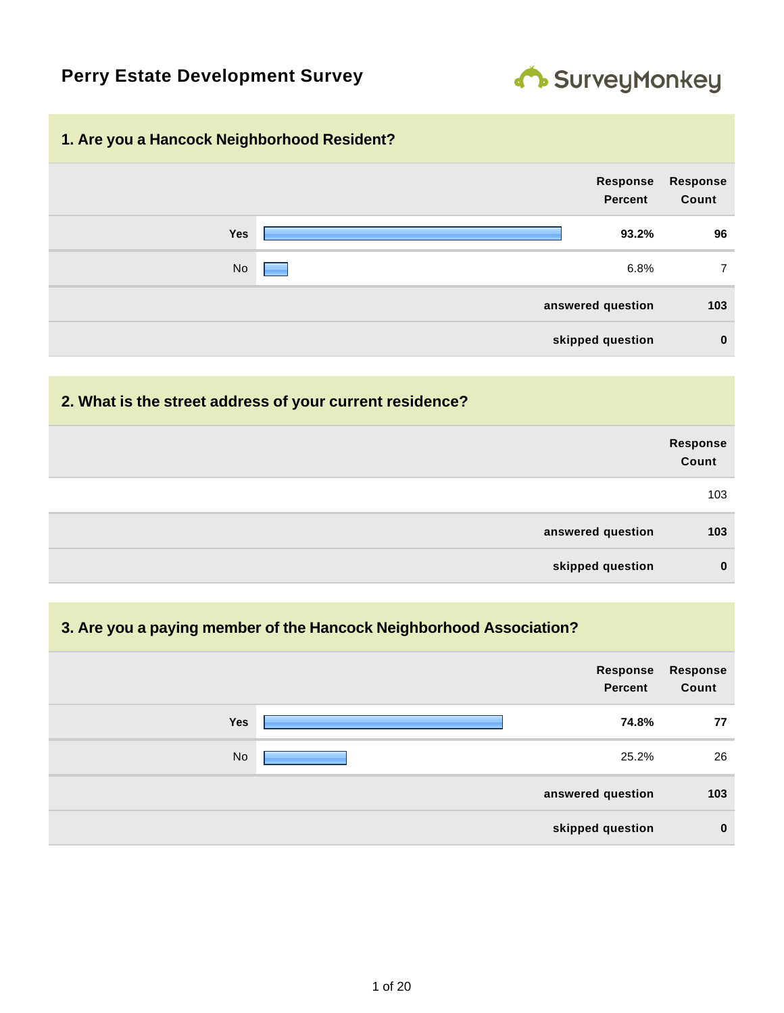# **Perry Estate Development Survey**



#### **1. Are you a Hancock Neighborhood Resident?**

| Response<br>Count | Response<br>Percent |            |  |
|-------------------|---------------------|------------|--|
| 96                | 93.2%               | <b>Yes</b> |  |
| 7                 | 6.8%                | No         |  |
| 103               | answered question   |            |  |
| $\mathbf 0$       | skipped question    |            |  |

#### **2. What is the street address of your current residence?**

|                   | Response<br>Count |
|-------------------|-------------------|
|                   | 103               |
| answered question | 103               |
| skipped question  | $\mathbf 0$       |

#### **3. Are you a paying member of the Hancock Neighborhood Association?**

|            | Response<br><b>Percent</b> | <b>Response</b><br>Count |
|------------|----------------------------|--------------------------|
| <b>Yes</b> | 74.8%                      | 77                       |
| <b>No</b>  | 25.2%                      | 26                       |
|            | answered question          | 103                      |
|            | skipped question           | $\mathbf 0$              |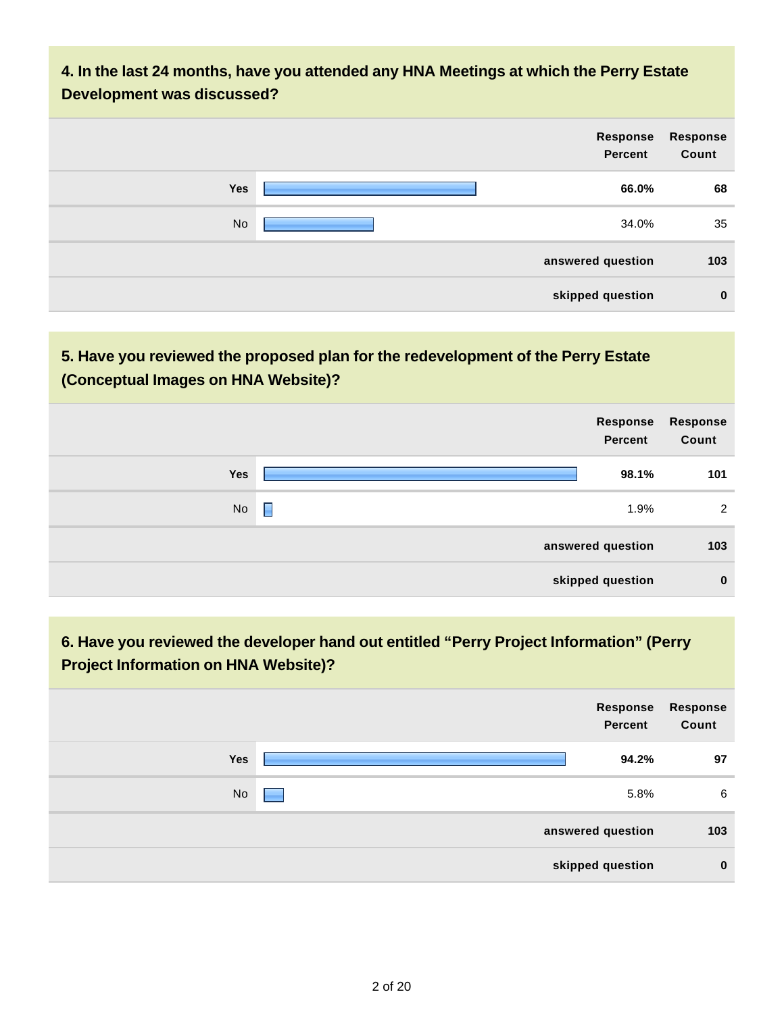### **4. In the last 24 months, have you attended any HNA Meetings at which the Perry Estate Development was discussed?**

| Response<br>Count | Response<br>Percent |           |
|-------------------|---------------------|-----------|
| 68                | 66.0%               | Yes       |
| 35                | 34.0%               | <b>No</b> |
| 103               | answered question   |           |
| $\mathbf{0}$      | skipped question    |           |

#### **5. Have you reviewed the proposed plan for the redevelopment of the Perry Estate (Conceptual Images on HNA Website)?**

| Response<br><b>Percent</b> | <b>Response</b><br>Count |
|----------------------------|--------------------------|
| 98.1%<br>Yes               | 101                      |
| П<br>No<br>1.9%            | $\overline{2}$           |
| answered question          | 103                      |
| skipped question           | $\mathbf 0$              |

# **6. Have you reviewed the developer hand out entitled "Perry Project Information" (Perry Project Information on HNA Website)?**

|            | Response<br><b>Percent</b> | Response<br>Count |
|------------|----------------------------|-------------------|
| <b>Yes</b> | 94.2%                      | 97                |
| <b>No</b>  | 5.8%                       | 6                 |
|            | answered question          | 103               |
|            | skipped question           | $\mathbf 0$       |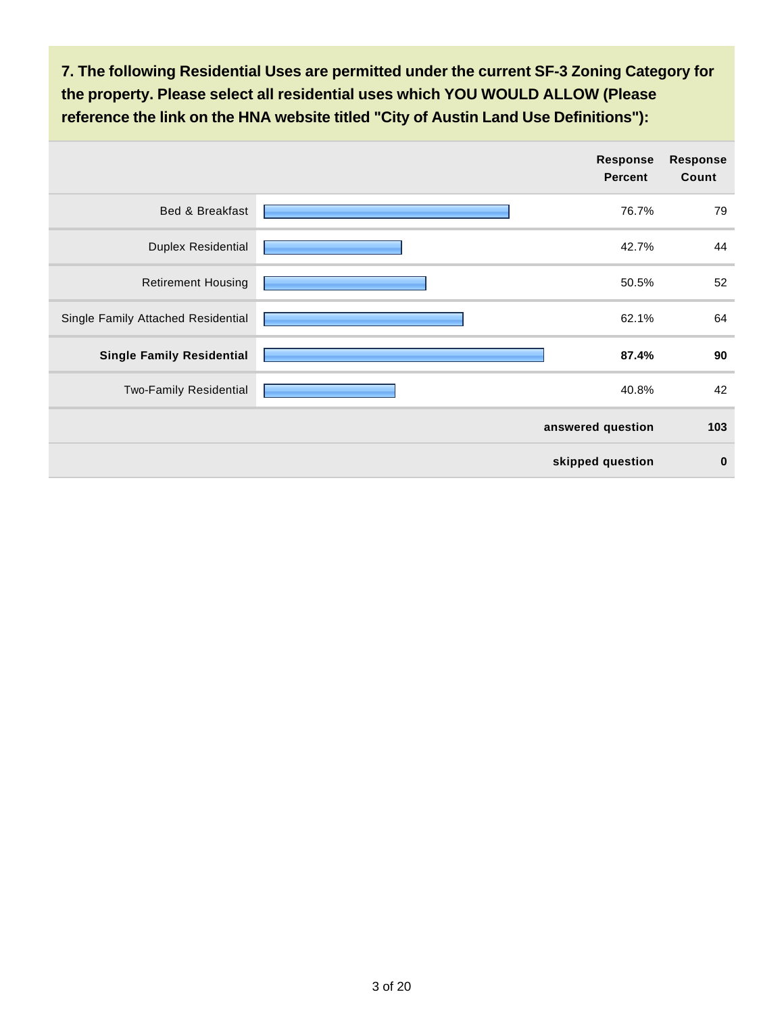**7. The following Residential Uses are permitted under the current SF-3 Zoning Category for the property. Please select all residential uses which YOU WOULD ALLOW (Please reference the link on the HNA website titled "City of Austin Land Use Definitions"):**

|                                    | Response<br><b>Percent</b> | Response<br>Count |
|------------------------------------|----------------------------|-------------------|
| Bed & Breakfast                    | 76.7%                      | 79                |
| <b>Duplex Residential</b>          | 42.7%                      | 44                |
| <b>Retirement Housing</b>          | 50.5%                      | 52                |
| Single Family Attached Residential | 62.1%                      | 64                |
| <b>Single Family Residential</b>   | 87.4%                      | 90                |
| Two-Family Residential             | 40.8%                      | 42                |
|                                    | answered question          | 103               |
|                                    | skipped question           | $\bf{0}$          |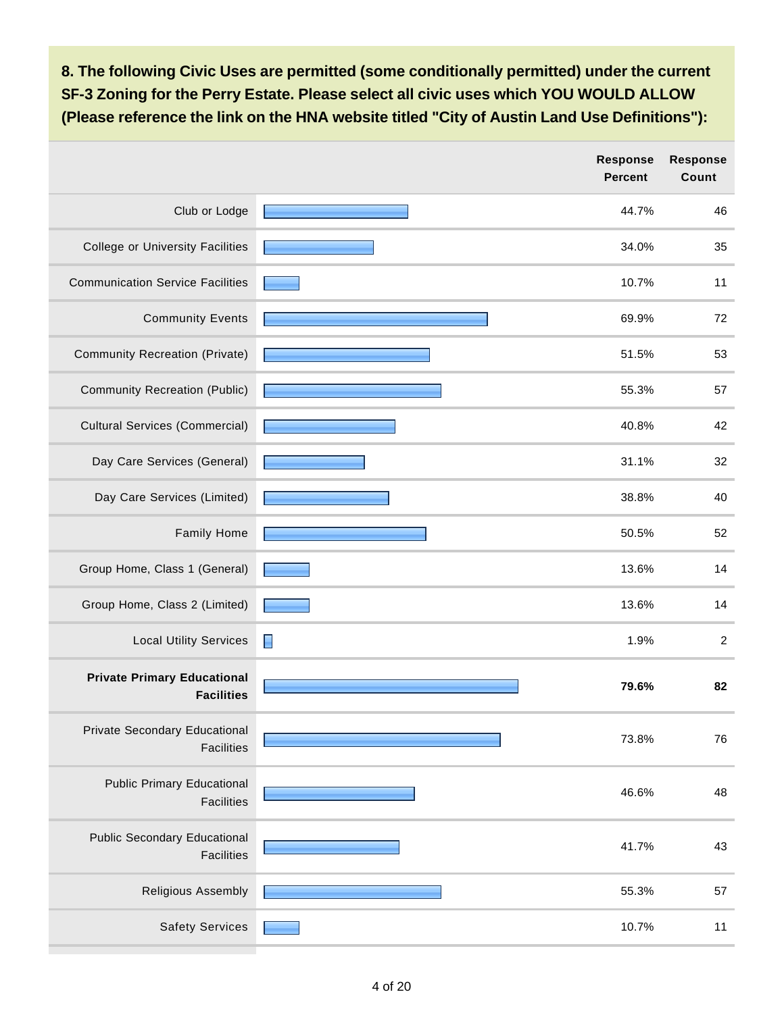**8. The following Civic Uses are permitted (some conditionally permitted) under the current SF-3 Zoning for the Perry Estate. Please select all civic uses which YOU WOULD ALLOW (Please reference the link on the HNA website titled "City of Austin Land Use Definitions"):**

|                                                          | <b>Response</b><br><b>Percent</b> | <b>Response</b><br>Count |
|----------------------------------------------------------|-----------------------------------|--------------------------|
| Club or Lodge                                            | 44.7%                             | 46                       |
| <b>College or University Facilities</b>                  | 34.0%                             | 35                       |
| <b>Communication Service Facilities</b>                  | 10.7%                             | 11                       |
| <b>Community Events</b>                                  | 69.9%                             | 72                       |
| Community Recreation (Private)                           | 51.5%                             | 53                       |
| <b>Community Recreation (Public)</b>                     | 55.3%                             | 57                       |
| <b>Cultural Services (Commercial)</b>                    | 40.8%                             | 42                       |
| Day Care Services (General)                              | 31.1%                             | 32                       |
| Day Care Services (Limited)                              | 38.8%                             | 40                       |
| <b>Family Home</b>                                       | 50.5%                             | 52                       |
| Group Home, Class 1 (General)                            | 13.6%                             | 14                       |
| Group Home, Class 2 (Limited)                            | 13.6%                             | 14                       |
| <b>Local Utility Services</b>                            | 1.9%<br>E                         | $\overline{c}$           |
| <b>Private Primary Educational</b><br><b>Facilities</b>  | 79.6%                             | 82                       |
| Private Secondary Educational<br><b>Facilities</b>       | 73.8%                             | 76                       |
| <b>Public Primary Educational</b><br><b>Facilities</b>   | 46.6%                             | 48                       |
| <b>Public Secondary Educational</b><br><b>Facilities</b> | 41.7%                             | 43                       |
| Religious Assembly                                       | 55.3%                             | 57                       |
| <b>Safety Services</b>                                   | 10.7%                             | 11                       |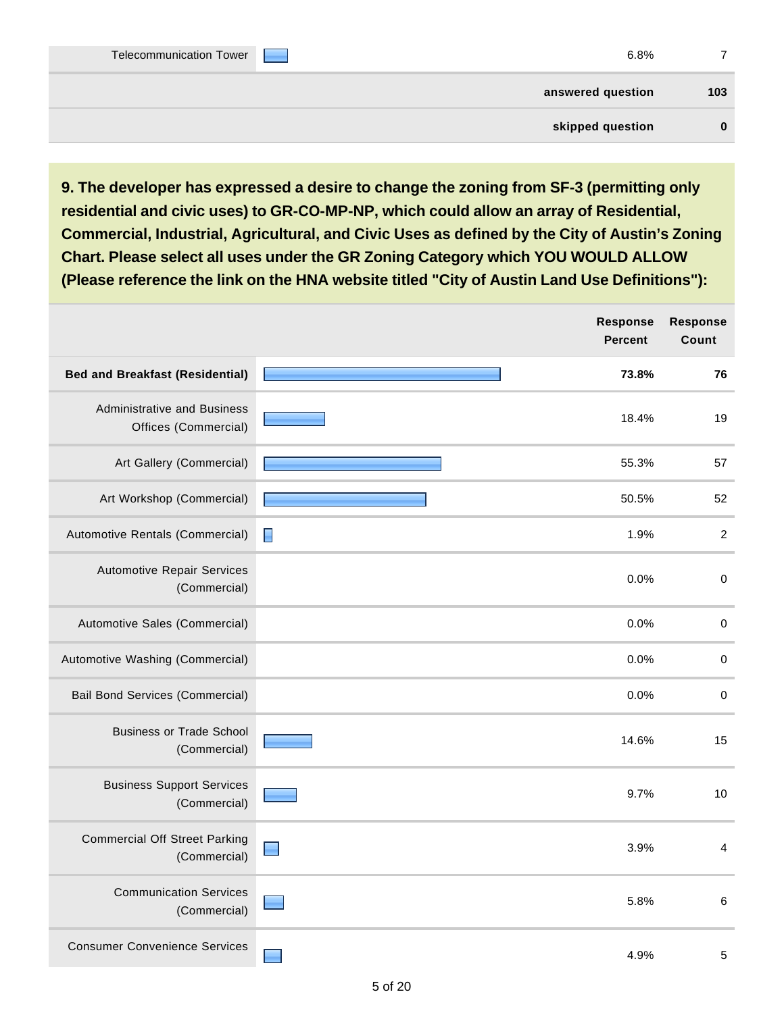| 6.8% |                   | <b>Contract Contract Contract</b> | Telecommunication Tower |
|------|-------------------|-----------------------------------|-------------------------|
| 103  | answered question |                                   |                         |
|      | skipped question  |                                   |                         |

**9. The developer has expressed a desire to change the zoning from SF-3 (permitting only residential and civic uses) to GR-CO-MP-NP, which could allow an array of Residential, Commercial, Industrial, Agricultural, and Civic Uses as defined by the City of Austin's Zoning Chart. Please select all uses under the GR Zoning Category which YOU WOULD ALLOW (Please reference the link on the HNA website titled "City of Austin Land Use Definitions"):**

|                                                            | Response<br><b>Percent</b> | <b>Response</b><br>Count |
|------------------------------------------------------------|----------------------------|--------------------------|
| <b>Bed and Breakfast (Residential)</b>                     | 73.8%                      | 76                       |
| <b>Administrative and Business</b><br>Offices (Commercial) | 18.4%                      | 19                       |
| Art Gallery (Commercial)                                   | 55.3%                      | 57                       |
| Art Workshop (Commercial)                                  | 50.5%                      | 52                       |
| Automotive Rentals (Commercial)                            | 1.9%<br>E                  | $\overline{2}$           |
| <b>Automotive Repair Services</b><br>(Commercial)          | 0.0%                       | $\pmb{0}$                |
| Automotive Sales (Commercial)                              | 0.0%                       | $\pmb{0}$                |
| Automotive Washing (Commercial)                            | 0.0%                       | $\pmb{0}$                |
| <b>Bail Bond Services (Commercial)</b>                     | 0.0%                       | $\pmb{0}$                |
| <b>Business or Trade School</b><br>(Commercial)            | 14.6%                      | 15                       |
| <b>Business Support Services</b><br>(Commercial)           | 9.7%                       | 10                       |
| <b>Commercial Off Street Parking</b><br>(Commercial)       | 3.9%                       | $\overline{4}$           |
| <b>Communication Services</b><br>(Commercial)              | 5.8%                       | $\,6\,$                  |
| <b>Consumer Convenience Services</b>                       | 4.9%                       | $\sqrt{5}$               |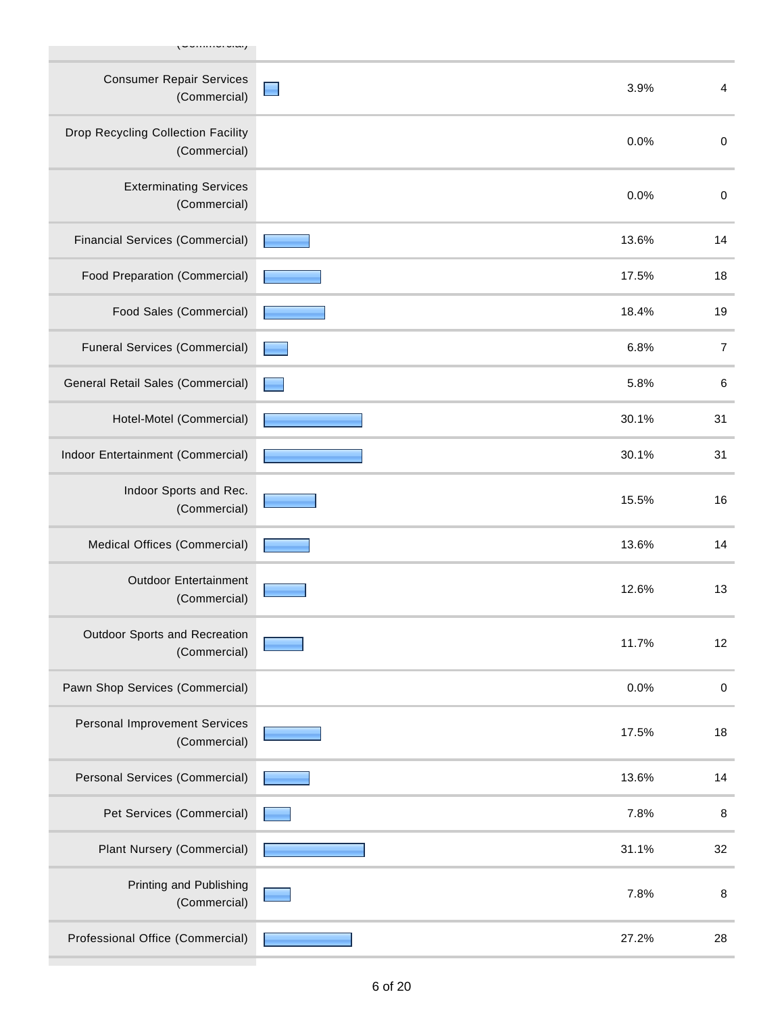| ,~~········· <i>·</i> ····                         |       |                |
|----------------------------------------------------|-------|----------------|
| <b>Consumer Repair Services</b><br>(Commercial)    | 3.9%  | 4              |
| Drop Recycling Collection Facility<br>(Commercial) | 0.0%  | $\pmb{0}$      |
| <b>Exterminating Services</b><br>(Commercial)      | 0.0%  | $\pmb{0}$      |
| <b>Financial Services (Commercial)</b>             | 13.6% | 14             |
| Food Preparation (Commercial)                      | 17.5% | 18             |
| Food Sales (Commercial)                            | 18.4% | 19             |
| <b>Funeral Services (Commercial)</b>               | 6.8%  | $\overline{7}$ |
| General Retail Sales (Commercial)                  | 5.8%  | $\,6$          |
| Hotel-Motel (Commercial)                           | 30.1% | 31             |
| Indoor Entertainment (Commercial)                  | 30.1% | 31             |
| Indoor Sports and Rec.<br>(Commercial)             | 15.5% | 16             |
| Medical Offices (Commercial)                       | 13.6% | 14             |
| <b>Outdoor Entertainment</b><br>(Commercial)       | 12.6% | 13             |
| Outdoor Sports and Recreation<br>(Commercial)      | 11.7% | 12             |
| Pawn Shop Services (Commercial)                    | 0.0%  | $\pmb{0}$      |
| Personal Improvement Services<br>(Commercial)      | 17.5% | 18             |
| Personal Services (Commercial)                     | 13.6% | 14             |
| Pet Services (Commercial)                          | 7.8%  | 8              |
| Plant Nursery (Commercial)                         | 31.1% | 32             |
| Printing and Publishing<br>(Commercial)            | 7.8%  | 8              |
| Professional Office (Commercial)                   | 27.2% | 28             |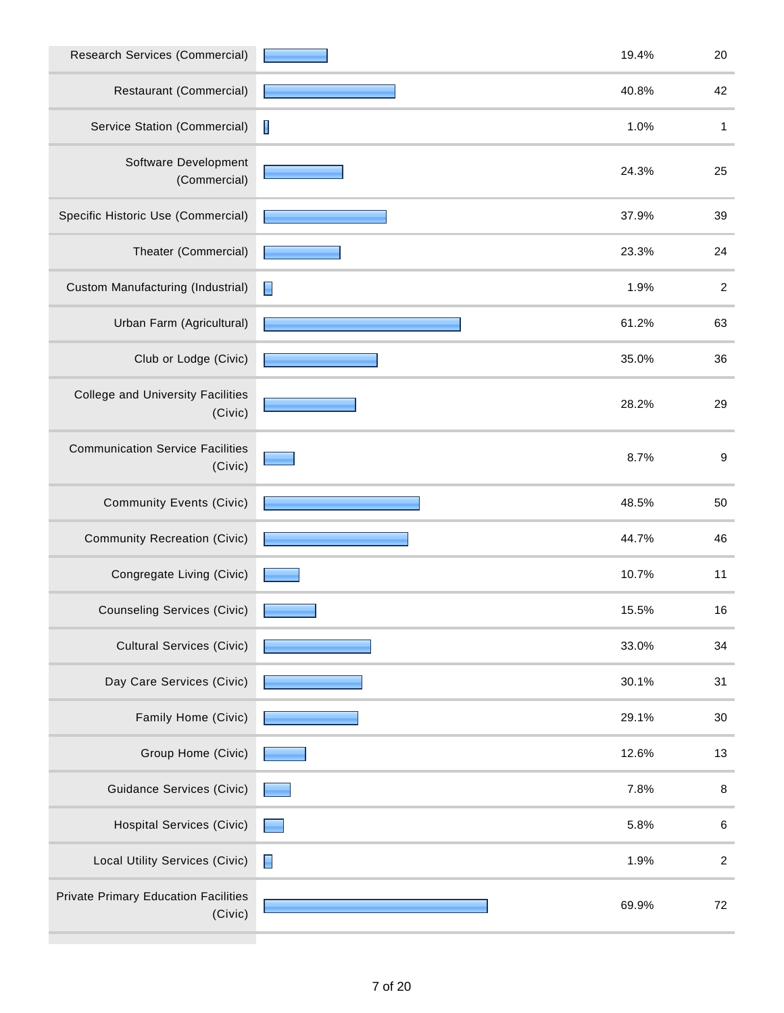| Research Services (Commercial)                         | 19.4%     | 20               |
|--------------------------------------------------------|-----------|------------------|
| Restaurant (Commercial)                                | 40.8%     | 42               |
| Service Station (Commercial)                           | I<br>1.0% | 1                |
| Software Development<br>(Commercial)                   | 24.3%     | 25               |
| Specific Historic Use (Commercial)                     | 37.9%     | 39               |
| Theater (Commercial)                                   | 23.3%     | 24               |
| Custom Manufacturing (Industrial)                      | 1.9%      | $\boldsymbol{2}$ |
| Urban Farm (Agricultural)                              | 61.2%     | 63               |
| Club or Lodge (Civic)                                  | 35.0%     | 36               |
| <b>College and University Facilities</b><br>(Civic)    | 28.2%     | 29               |
| <b>Communication Service Facilities</b><br>(Civic)     | 8.7%      | $\boldsymbol{9}$ |
| <b>Community Events (Civic)</b>                        | 48.5%     | 50               |
| <b>Community Recreation (Civic)</b>                    | 44.7%     | 46               |
| Congregate Living (Civic)                              | 10.7%     | 11               |
| <b>Counseling Services (Civic)</b>                     | 15.5%     | 16               |
| <b>Cultural Services (Civic)</b>                       | 33.0%     | 34               |
| Day Care Services (Civic)                              | 30.1%     | 31               |
| Family Home (Civic)                                    | 29.1%     | 30               |
| Group Home (Civic)                                     | 12.6%     | 13               |
| <b>Guidance Services (Civic)</b>                       | 7.8%      | $\,8\,$          |
| <b>Hospital Services (Civic)</b>                       | 5.8%      | $\,6\,$          |
| Local Utility Services (Civic)                         | E<br>1.9% | $\boldsymbol{2}$ |
| <b>Private Primary Education Facilities</b><br>(Civic) | 69.9%     | 72               |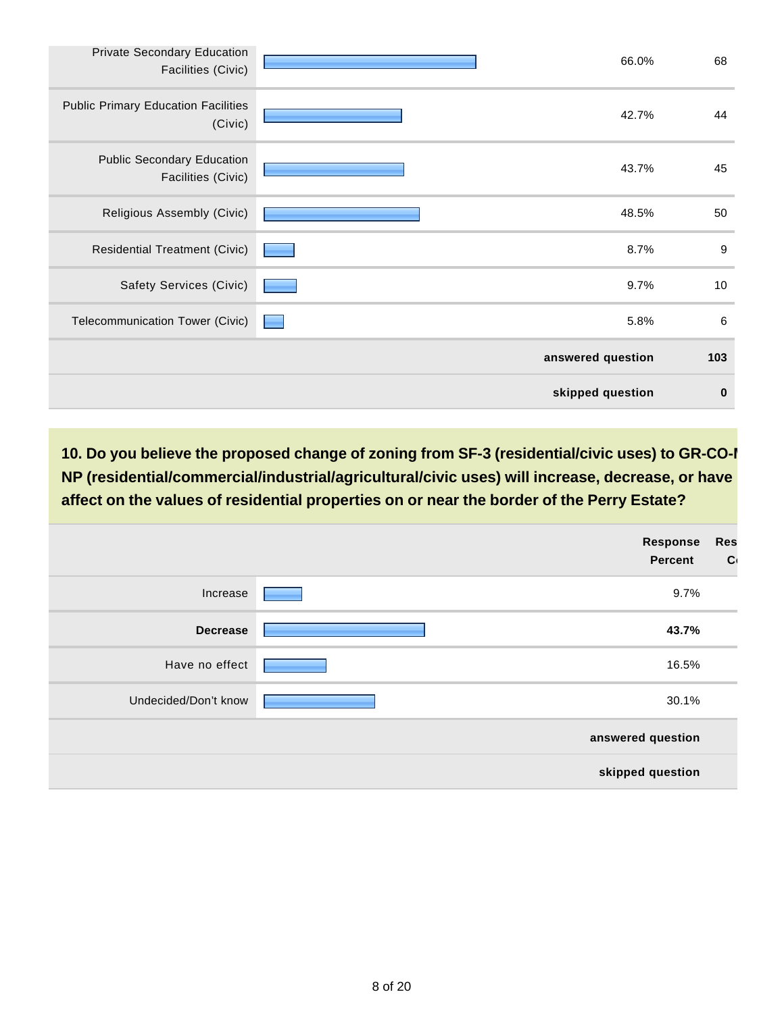| Private Secondary Education<br>Facilities (Civic)       | 66.0%             | 68               |
|---------------------------------------------------------|-------------------|------------------|
| <b>Public Primary Education Facilities</b><br>(Civic)   | 42.7%             | 44               |
| <b>Public Secondary Education</b><br>Facilities (Civic) | 43.7%             | 45               |
| Religious Assembly (Civic)                              | 48.5%             | 50               |
| <b>Residential Treatment (Civic)</b>                    | 8.7%              | $\boldsymbol{9}$ |
| Safety Services (Civic)                                 | 9.7%              | 10               |
| Telecommunication Tower (Civic)                         | 5.8%              | 6                |
|                                                         | answered question | 103              |
|                                                         | skipped question  | $\bf{0}$         |

10. Do you believe the proposed change of zoning from SF-3 (residential/civic uses) to GR-CO-I **NP (residential/commercial/industrial/agricultural/civic uses) will increase, decrease, or have no affect on the values of residential properties on or near the border of the Perry Estate?**

|                      | <b>Response</b><br><b>Percent</b> | <b>Res</b><br>$\mathbf{C}$ |
|----------------------|-----------------------------------|----------------------------|
| Increase             | 9.7%                              |                            |
| <b>Decrease</b>      | 43.7%                             |                            |
| Have no effect       | 16.5%                             |                            |
| Undecided/Don't know | 30.1%                             |                            |
|                      | answered question                 |                            |
|                      | skipped question                  |                            |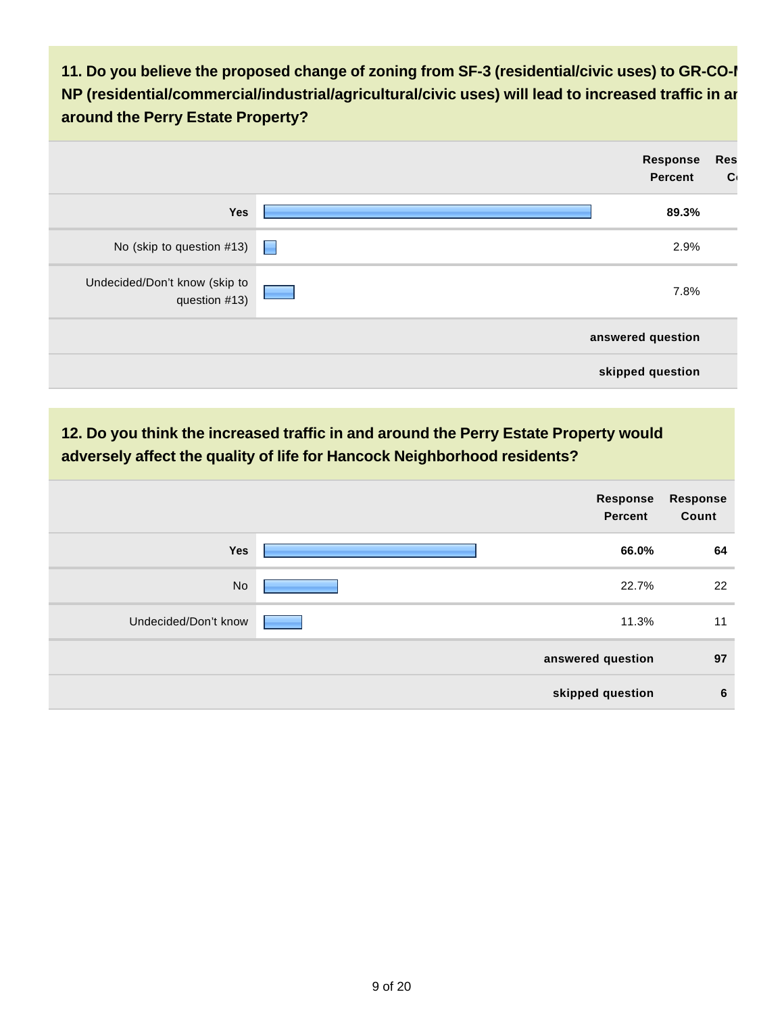**11. Do you believe the proposed change of zoning from SF-3 (residential/civic uses) to GR-CO-MP NP (residential/commercial/industrial/agricultural/civic uses) will lead to increased traffic in and around the Perry Estate Property?**



# **12. Do you think the increased traffic in and around the Perry Estate Property would adversely affect the quality of life for Hancock Neighborhood residents?**

|                      | <b>Response</b><br><b>Percent</b> | <b>Response</b><br>Count |
|----------------------|-----------------------------------|--------------------------|
| <b>Yes</b>           | 66.0%                             | 64                       |
| <b>No</b>            | 22.7%                             | 22                       |
| Undecided/Don't know | 11.3%                             | 11                       |
|                      | answered question                 | 97                       |
|                      | skipped question                  | 6                        |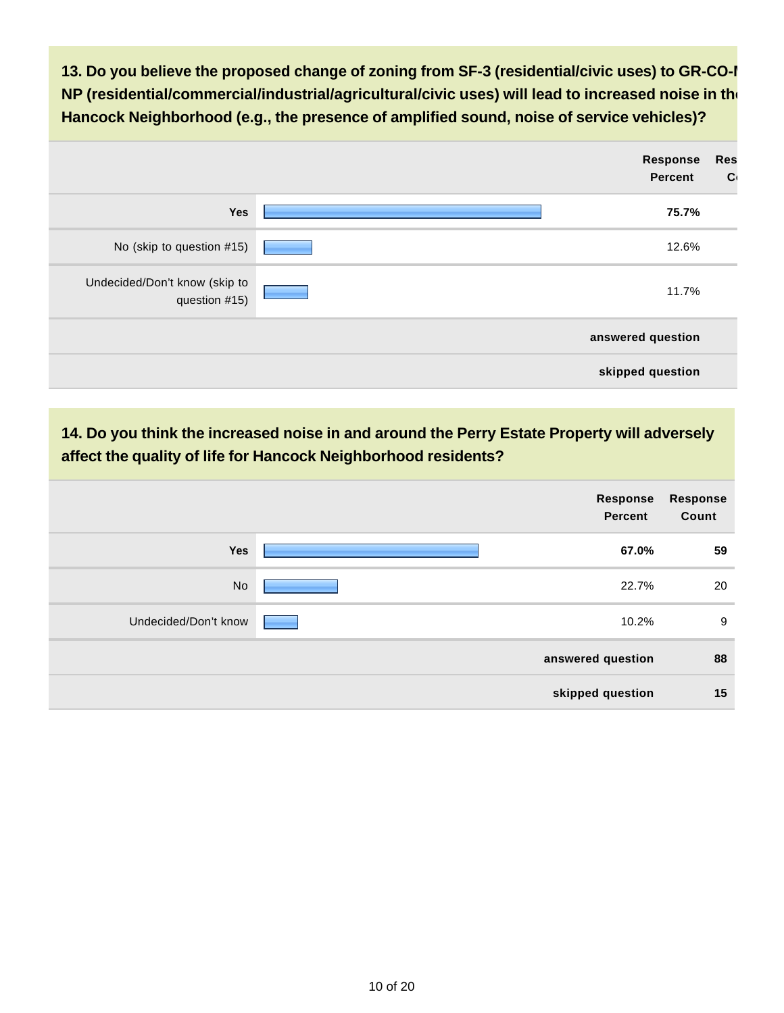13. Do you believe the proposed change of zoning from SF-3 (residential/civic uses) to GR-CO-I **NP (residential/commercial/industrial/agricultural/civic uses) will lead to increased noise in the Hancock Neighborhood (e.g., the presence of amplified sound, noise of service vehicles)?**

|                                                | Response<br><b>Percent</b> | <b>Res</b><br>$\mathbf{C}$ |
|------------------------------------------------|----------------------------|----------------------------|
| Yes                                            | 75.7%                      |                            |
| No (skip to question #15)                      | 12.6%                      |                            |
| Undecided/Don't know (skip to<br>question #15) | 11.7%                      |                            |
|                                                | answered question          |                            |
|                                                | skipped question           |                            |

# **14. Do you think the increased noise in and around the Perry Estate Property will adversely affect the quality of life for Hancock Neighborhood residents?**

|                      | Response<br><b>Percent</b> | <b>Response</b><br>Count |
|----------------------|----------------------------|--------------------------|
| <b>Yes</b>           | 67.0%                      | 59                       |
| No                   | 22.7%                      | 20                       |
| Undecided/Don't know | 10.2%                      | 9                        |
|                      | answered question          | 88                       |
|                      | skipped question           | 15                       |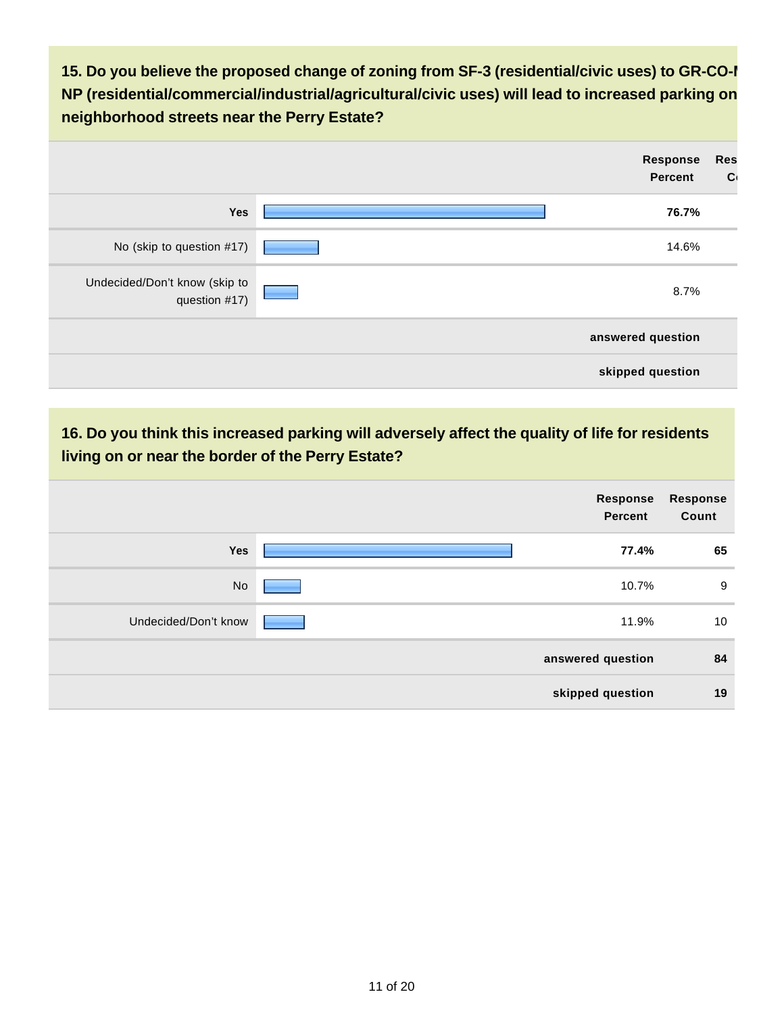15. Do you believe the proposed change of zoning from SF-3 (residential/civic uses) to GR-CO-I **NP (residential/commercial/industrial/agricultural/civic uses) will lead to increased parking on neighborhood streets near the Perry Estate?**

|                                                | Response<br>Percent | <b>Res</b><br>$\mathbf{C}$ |
|------------------------------------------------|---------------------|----------------------------|
| Yes                                            | 76.7%               |                            |
| No (skip to question #17)                      | 14.6%               |                            |
| Undecided/Don't know (skip to<br>question #17) | 8.7%                |                            |
|                                                | answered question   |                            |
|                                                | skipped question    |                            |

# **16. Do you think this increased parking will adversely affect the quality of life for residents living on or near the border of the Perry Estate?**

|                      | Response<br>Percent | Response<br>Count |
|----------------------|---------------------|-------------------|
| <b>Yes</b>           | 77.4%               | 65                |
| No                   | 10.7%               | 9                 |
| Undecided/Don't know | 11.9%               | 10                |
|                      | answered question   | 84                |
|                      | skipped question    | 19                |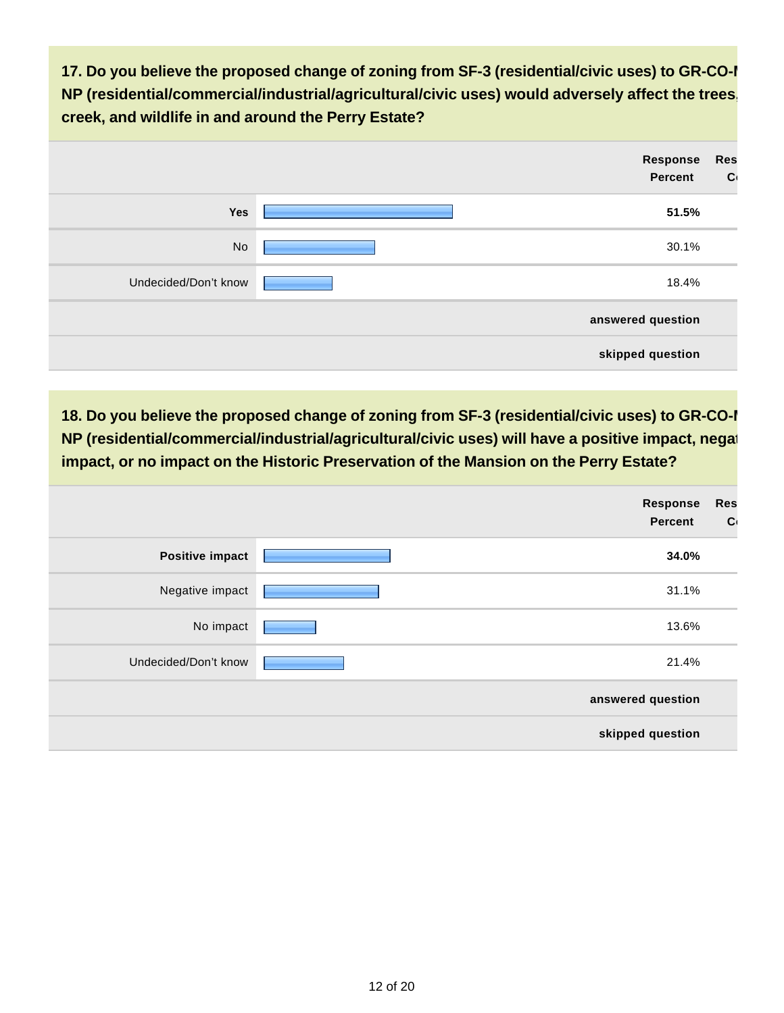17. Do you believe the proposed change of zoning from SF-3 (residential/civic uses) to GR-CO-I **NP (residential/commercial/industrial/agricultural/civic uses) would adversely affect the trees, creek, and wildlife in and around the Perry Estate?**

|                      | Response<br>Percent | <b>Res</b><br>$\mathbf{C}$ |
|----------------------|---------------------|----------------------------|
| Yes                  | 51.5%               |                            |
| No                   | 30.1%               |                            |
| Undecided/Don't know | 18.4%               |                            |
|                      | answered question   |                            |
|                      | skipped question    |                            |

18. Do you believe the proposed change of zoning from SF-3 (residential/civic uses) to GR-CO-I **NP (residential/commercial/industrial/agricultural/civic uses) will have a positive impact, negational and interimpact, or no impact on the Historic Preservation of the Mansion on the Perry Estate?**

|                        | <b>Response</b><br>Percent | <b>Res</b><br>$\mathbf{C}$ |
|------------------------|----------------------------|----------------------------|
| <b>Positive impact</b> | 34.0%                      |                            |
| Negative impact        | 31.1%                      |                            |
| No impact              | 13.6%                      |                            |
| Undecided/Don't know   | 21.4%                      |                            |
|                        | answered question          |                            |
|                        | skipped question           |                            |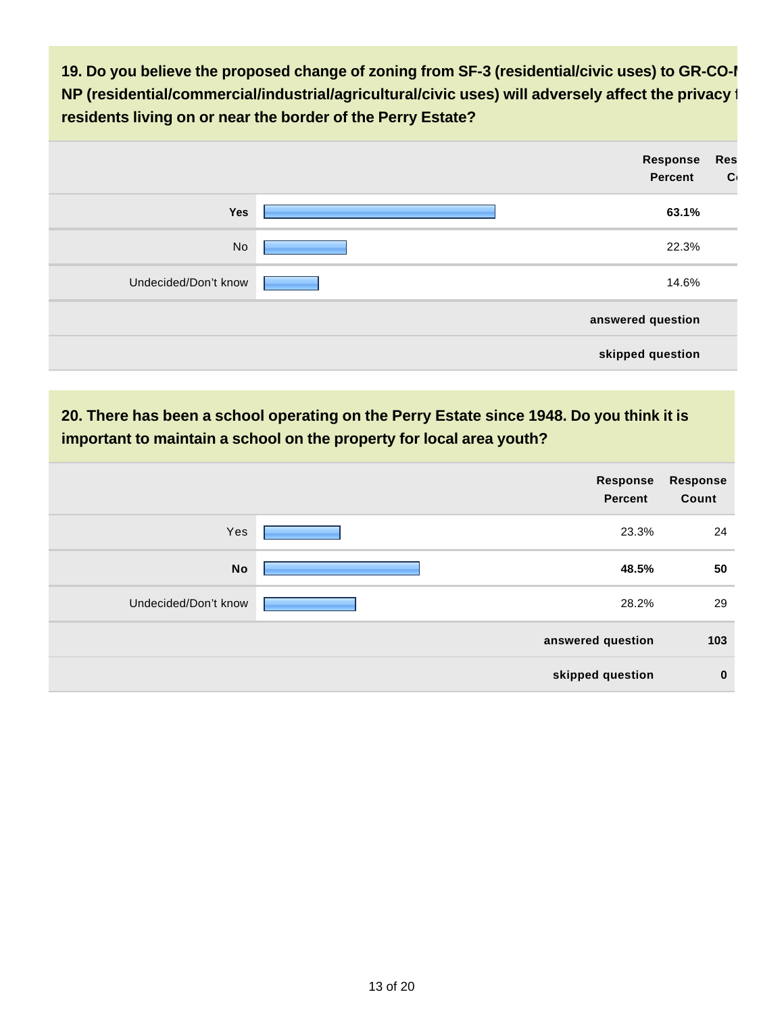19. Do you believe the proposed change of zoning from SF-3 (residential/civic uses) to GR-CO-I **NP (residential/commercial/industrial/agricultural/civic uses) will adversely affect the privacy for residents living on or near the border of the Perry Estate?**

|                      | Response<br><b>Percent</b> | <b>Res</b><br>$\mathbf{C}$ |
|----------------------|----------------------------|----------------------------|
| Yes                  | 63.1%                      |                            |
| No                   | 22.3%                      |                            |
| Undecided/Don't know | 14.6%                      |                            |
|                      | answered question          |                            |
|                      | skipped question           |                            |

### **20. There has been a school operating on the Perry Estate since 1948. Do you think it is important to maintain a school on the property for local area youth?**

|                      | Response<br>Percent | Response<br>Count |
|----------------------|---------------------|-------------------|
| Yes                  | 23.3%               | 24                |
| <b>No</b>            | 48.5%               | 50                |
| Undecided/Don't know | 28.2%               | 29                |
|                      | answered question   | 103               |
|                      | skipped question    | $\mathbf{0}$      |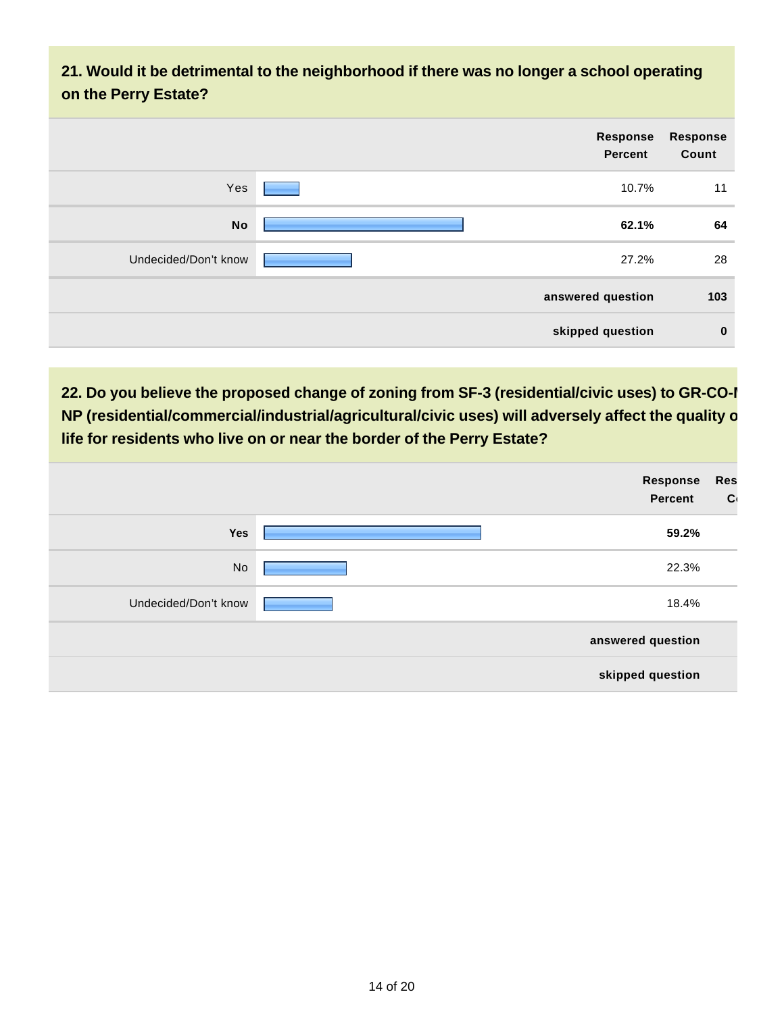**21. Would it be detrimental to the neighborhood if there was no longer a school operating on the Perry Estate?**

| Response<br>Count | Response<br><b>Percent</b> |                      |
|-------------------|----------------------------|----------------------|
| 11                | 10.7%                      | Yes                  |
| 64                | 62.1%                      | <b>No</b>            |
| 28                | 27.2%                      | Undecided/Don't know |
| 103               | answered question          |                      |
| $\bf{0}$          | skipped question           |                      |

**22. Do you believe the proposed change of zoning from SF-3 (residential/civic uses) to GR-CO-I NP (residential/commercial/industrial/agricultural/civic uses) will adversely affect the quality of life for residents who live on or near the border of the Perry Estate?**

|                      | Response<br>Percent | <b>Res</b><br>$\mathbf{C}$ |
|----------------------|---------------------|----------------------------|
| Yes                  | 59.2%               |                            |
| No                   | 22.3%               |                            |
| Undecided/Don't know | 18.4%               |                            |
|                      | answered question   |                            |
|                      | skipped question    |                            |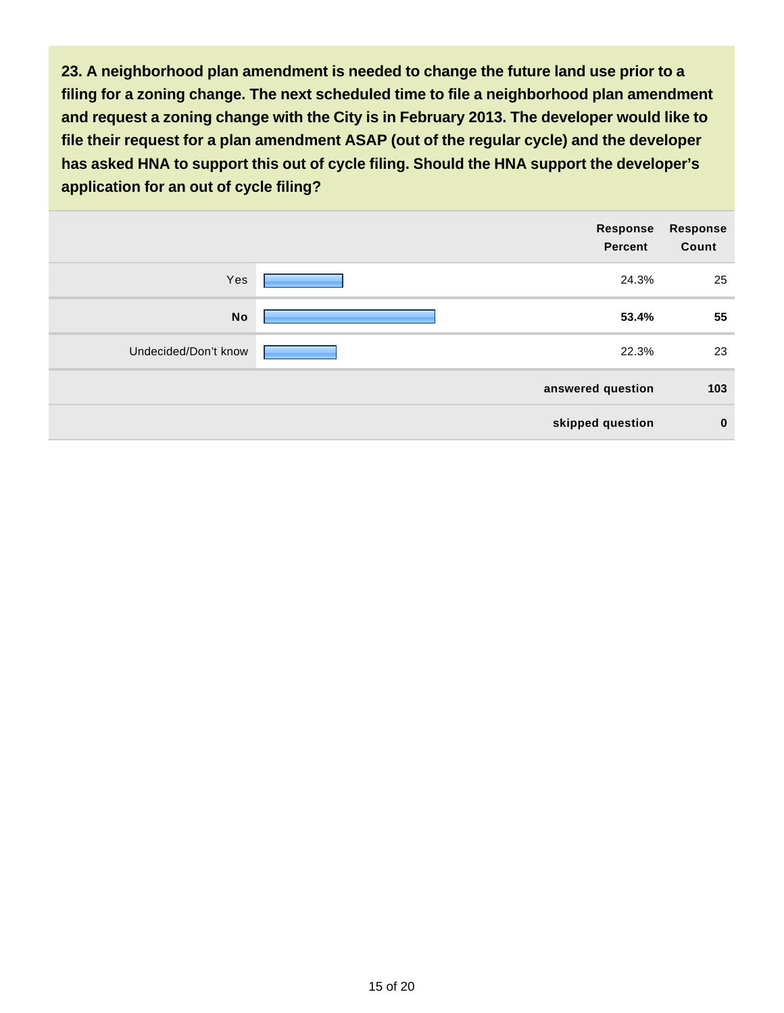**23. A neighborhood plan amendment is needed to change the future land use prior to a filing for a zoning change. The next scheduled time to file a neighborhood plan amendment and request a zoning change with the City is in February 2013. The developer would like to file their request for a plan amendment ASAP (out of the regular cycle) and the developer has asked HNA to support this out of cycle filing. Should the HNA support the developer's application for an out of cycle filing?**

|                      | Response<br><b>Percent</b> | <b>Response</b><br>Count |
|----------------------|----------------------------|--------------------------|
| Yes                  | 24.3%                      | 25                       |
| <b>No</b>            | 53.4%                      | 55                       |
| Undecided/Don't know | 22.3%                      | 23                       |
|                      | answered question          | 103                      |
|                      | skipped question           | $\bf{0}$                 |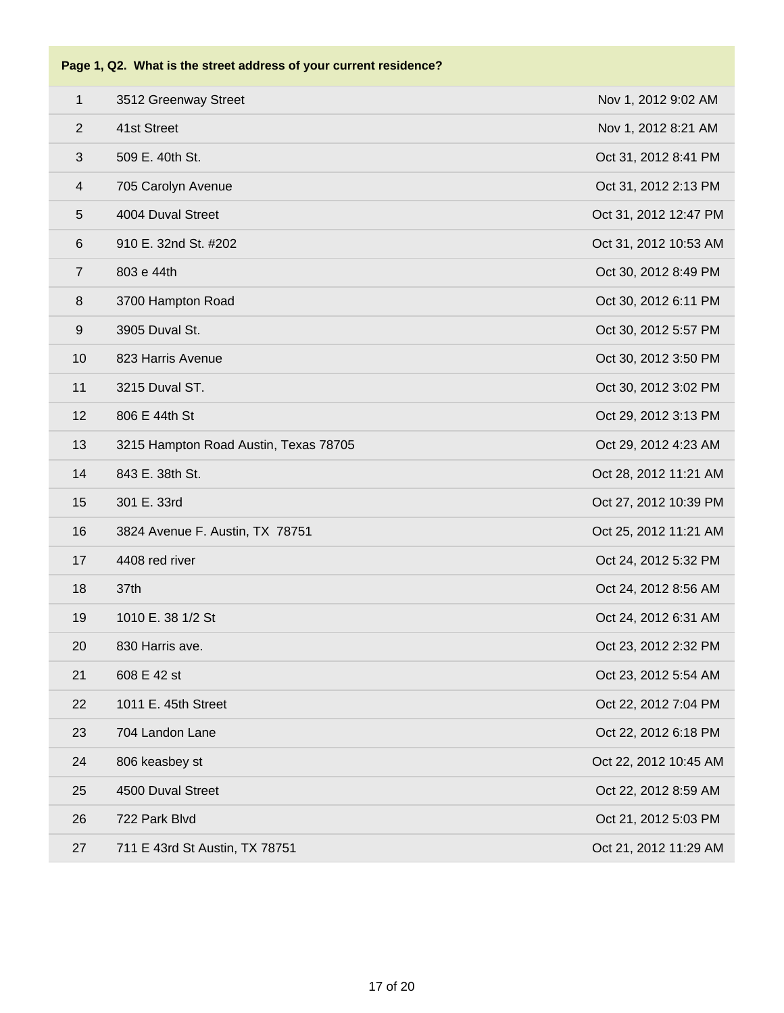| $\mathbf{1}$            | 3512 Greenway Street                  | Nov 1, 2012 9:02 AM   |
|-------------------------|---------------------------------------|-----------------------|
| $\overline{2}$          | 41st Street                           | Nov 1, 2012 8:21 AM   |
| 3                       | 509 E. 40th St.                       | Oct 31, 2012 8:41 PM  |
| $\overline{\mathbf{4}}$ | 705 Carolyn Avenue                    | Oct 31, 2012 2:13 PM  |
| 5                       | 4004 Duval Street                     | Oct 31, 2012 12:47 PM |
| 6                       | 910 E. 32nd St. #202                  | Oct 31, 2012 10:53 AM |
| $\overline{7}$          | 803 e 44th                            | Oct 30, 2012 8:49 PM  |
| $\bf 8$                 | 3700 Hampton Road                     | Oct 30, 2012 6:11 PM  |
| $\boldsymbol{9}$        | 3905 Duval St.                        | Oct 30, 2012 5:57 PM  |
| 10                      | 823 Harris Avenue                     | Oct 30, 2012 3:50 PM  |
| 11                      | 3215 Duval ST.                        | Oct 30, 2012 3:02 PM  |
| 12                      | 806 E 44th St                         | Oct 29, 2012 3:13 PM  |
| 13                      | 3215 Hampton Road Austin, Texas 78705 | Oct 29, 2012 4:23 AM  |
| 14                      | 843 E. 38th St.                       | Oct 28, 2012 11:21 AM |
| 15                      | 301 E. 33rd                           | Oct 27, 2012 10:39 PM |
| 16                      | 3824 Avenue F. Austin, TX 78751       | Oct 25, 2012 11:21 AM |
| 17                      | 4408 red river                        | Oct 24, 2012 5:32 PM  |
| 18                      | 37th                                  | Oct 24, 2012 8:56 AM  |
| 19                      | 1010 E. 38 1/2 St                     | Oct 24, 2012 6:31 AM  |
| 20                      | 830 Harris ave.                       | Oct 23, 2012 2:32 PM  |
| 21                      | 608 E 42 st                           | Oct 23, 2012 5:54 AM  |
| 22                      | 1011 E. 45th Street                   | Oct 22, 2012 7:04 PM  |
| 23                      | 704 Landon Lane                       | Oct 22, 2012 6:18 PM  |
| 24                      | 806 keasbey st                        | Oct 22, 2012 10:45 AM |
| 25                      | 4500 Duval Street                     | Oct 22, 2012 8:59 AM  |
| 26                      | 722 Park Blvd                         | Oct 21, 2012 5:03 PM  |
| 27                      | 711 E 43rd St Austin, TX 78751        | Oct 21, 2012 11:29 AM |
|                         |                                       |                       |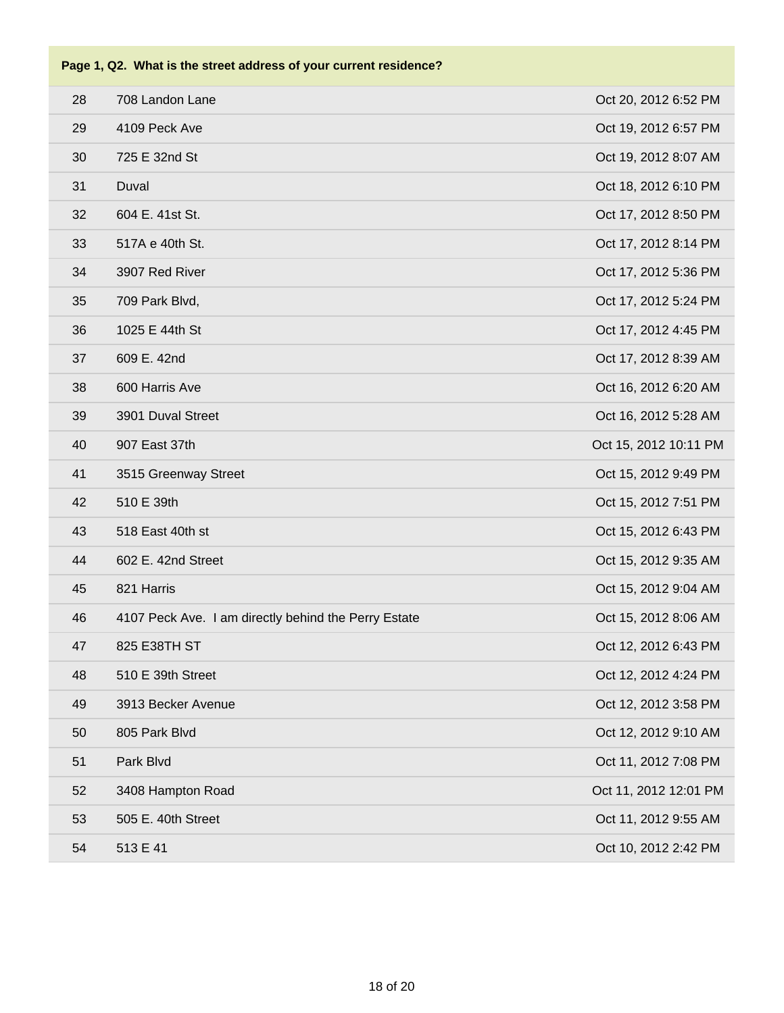| 28 | 708 Landon Lane                                      | Oct 20, 2012 6:52 PM  |
|----|------------------------------------------------------|-----------------------|
| 29 | 4109 Peck Ave                                        | Oct 19, 2012 6:57 PM  |
| 30 | 725 E 32nd St                                        | Oct 19, 2012 8:07 AM  |
| 31 | Duval                                                | Oct 18, 2012 6:10 PM  |
| 32 | 604 E. 41st St.                                      | Oct 17, 2012 8:50 PM  |
| 33 | 517A e 40th St.                                      | Oct 17, 2012 8:14 PM  |
| 34 | 3907 Red River                                       | Oct 17, 2012 5:36 PM  |
| 35 | 709 Park Blvd,                                       | Oct 17, 2012 5:24 PM  |
| 36 | 1025 E 44th St                                       | Oct 17, 2012 4:45 PM  |
| 37 | 609 E. 42nd                                          | Oct 17, 2012 8:39 AM  |
| 38 | 600 Harris Ave                                       | Oct 16, 2012 6:20 AM  |
| 39 | 3901 Duval Street                                    | Oct 16, 2012 5:28 AM  |
| 40 | 907 East 37th                                        | Oct 15, 2012 10:11 PM |
| 41 | 3515 Greenway Street                                 | Oct 15, 2012 9:49 PM  |
| 42 | 510 E 39th                                           | Oct 15, 2012 7:51 PM  |
| 43 | 518 East 40th st                                     | Oct 15, 2012 6:43 PM  |
| 44 | 602 E. 42nd Street                                   | Oct 15, 2012 9:35 AM  |
| 45 | 821 Harris                                           | Oct 15, 2012 9:04 AM  |
| 46 | 4107 Peck Ave. I am directly behind the Perry Estate | Oct 15, 2012 8:06 AM  |
| 47 | 825 E38TH ST                                         | Oct 12, 2012 6:43 PM  |
| 48 | 510 E 39th Street                                    | Oct 12, 2012 4:24 PM  |
| 49 | 3913 Becker Avenue                                   | Oct 12, 2012 3:58 PM  |
| 50 | 805 Park Blvd                                        | Oct 12, 2012 9:10 AM  |
| 51 | Park Blvd                                            | Oct 11, 2012 7:08 PM  |
| 52 | 3408 Hampton Road                                    | Oct 11, 2012 12:01 PM |
| 53 | 505 E. 40th Street                                   | Oct 11, 2012 9:55 AM  |
| 54 | 513 E 41                                             | Oct 10, 2012 2:42 PM  |
|    |                                                      |                       |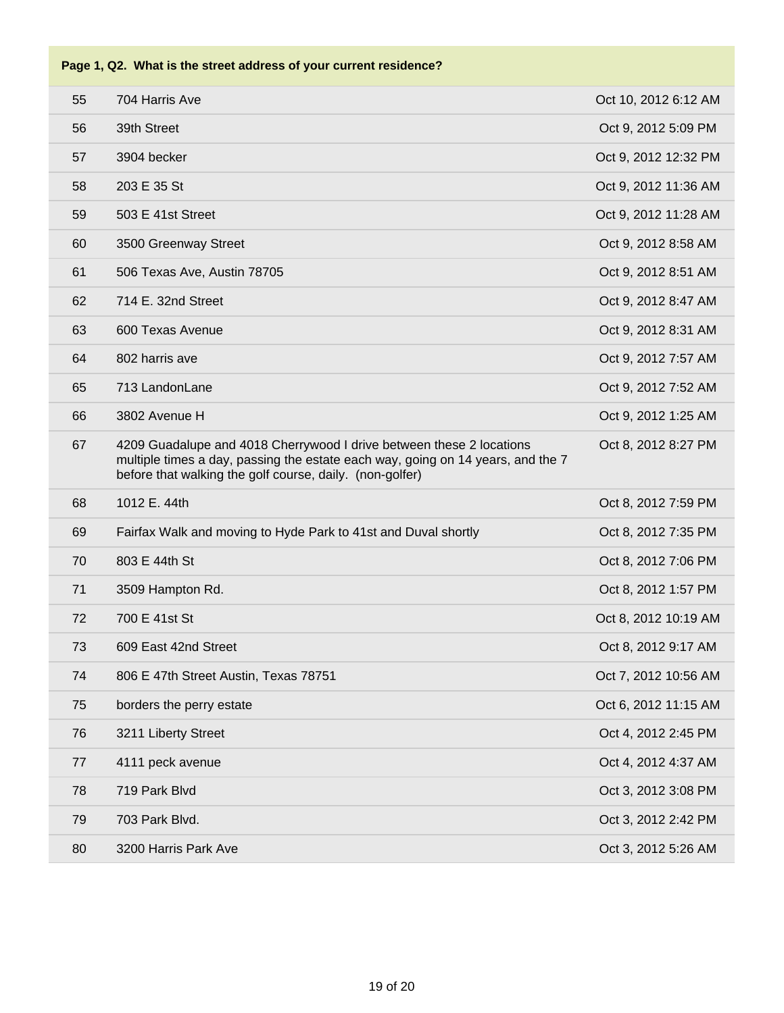| 55 | 704 Harris Ave                                                                                                                                                                                                      | Oct 10, 2012 6:12 AM |
|----|---------------------------------------------------------------------------------------------------------------------------------------------------------------------------------------------------------------------|----------------------|
| 56 | 39th Street                                                                                                                                                                                                         | Oct 9, 2012 5:09 PM  |
| 57 | 3904 becker                                                                                                                                                                                                         | Oct 9, 2012 12:32 PM |
| 58 | 203 E 35 St                                                                                                                                                                                                         | Oct 9, 2012 11:36 AM |
| 59 | 503 E 41st Street                                                                                                                                                                                                   | Oct 9, 2012 11:28 AM |
| 60 | 3500 Greenway Street                                                                                                                                                                                                | Oct 9, 2012 8:58 AM  |
| 61 | 506 Texas Ave, Austin 78705                                                                                                                                                                                         | Oct 9, 2012 8:51 AM  |
| 62 | 714 E. 32nd Street                                                                                                                                                                                                  | Oct 9, 2012 8:47 AM  |
| 63 | 600 Texas Avenue                                                                                                                                                                                                    | Oct 9, 2012 8:31 AM  |
| 64 | 802 harris ave                                                                                                                                                                                                      | Oct 9, 2012 7:57 AM  |
| 65 | 713 LandonLane                                                                                                                                                                                                      | Oct 9, 2012 7:52 AM  |
| 66 | 3802 Avenue H                                                                                                                                                                                                       | Oct 9, 2012 1:25 AM  |
| 67 | 4209 Guadalupe and 4018 Cherrywood I drive between these 2 locations<br>multiple times a day, passing the estate each way, going on 14 years, and the 7<br>before that walking the golf course, daily. (non-golfer) | Oct 8, 2012 8:27 PM  |
| 68 | 1012 E. 44th                                                                                                                                                                                                        | Oct 8, 2012 7:59 PM  |
| 69 | Fairfax Walk and moving to Hyde Park to 41st and Duval shortly                                                                                                                                                      | Oct 8, 2012 7:35 PM  |
| 70 | 803 E 44th St                                                                                                                                                                                                       | Oct 8, 2012 7:06 PM  |
| 71 | 3509 Hampton Rd.                                                                                                                                                                                                    | Oct 8, 2012 1:57 PM  |
| 72 | 700 E 41st St                                                                                                                                                                                                       | Oct 8, 2012 10:19 AM |
| 73 | 609 East 42nd Street                                                                                                                                                                                                | Oct 8, 2012 9:17 AM  |
| 74 | 806 E 47th Street Austin, Texas 78751                                                                                                                                                                               | Oct 7, 2012 10:56 AM |
| 75 | borders the perry estate                                                                                                                                                                                            | Oct 6, 2012 11:15 AM |
| 76 | 3211 Liberty Street                                                                                                                                                                                                 | Oct 4, 2012 2:45 PM  |
| 77 | 4111 peck avenue                                                                                                                                                                                                    | Oct 4, 2012 4:37 AM  |
| 78 | 719 Park Blvd                                                                                                                                                                                                       | Oct 3, 2012 3:08 PM  |
| 79 | 703 Park Blvd.                                                                                                                                                                                                      | Oct 3, 2012 2:42 PM  |
| 80 | 3200 Harris Park Ave                                                                                                                                                                                                | Oct 3, 2012 5:26 AM  |